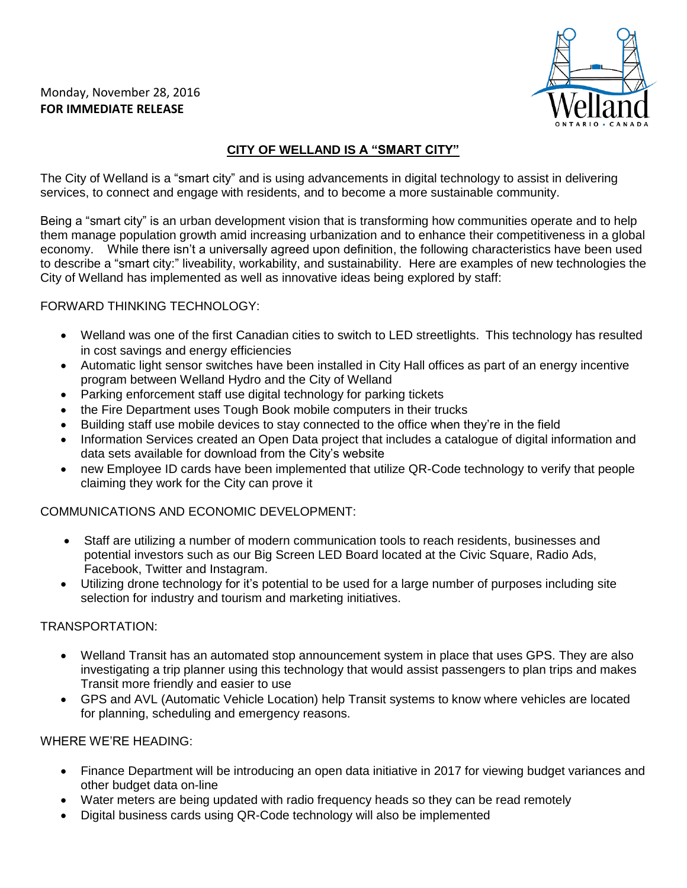Monday, November 28, 2016 **FOR IMMEDIATE RELEASE** 



# **CITY OF WELLAND IS A "SMART CITY"**

The City of Welland is a "smart city" and is using advancements in digital technology to assist in delivering services, to connect and engage with residents, and to become a more sustainable community.

Being a "smart city" is an urban development vision that is transforming how communities operate and to help them manage population growth amid increasing urbanization and to enhance their competitiveness in a global economy. While there isn't a universally agreed upon definition, the following characteristics have been used to describe a "smart city:" liveability, workability, and sustainability. Here are examples of new technologies the City of Welland has implemented as well as innovative ideas being explored by staff:

## FORWARD THINKING TECHNOLOGY:

- Welland was one of the first Canadian cities to switch to LED streetlights. This technology has resulted in cost savings and energy efficiencies
- Automatic light sensor switches have been installed in City Hall offices as part of an energy incentive program between Welland Hydro and the City of Welland
- Parking enforcement staff use digital technology for parking tickets
- the Fire Department uses Tough Book mobile computers in their trucks
- Building staff use mobile devices to stay connected to the office when they're in the field
- Information Services created an Open Data project that includes a catalogue of digital information and data sets available for download from the City's website
- new Employee ID cards have been implemented that utilize QR-Code technology to verify that people claiming they work for the City can prove it

### COMMUNICATIONS AND ECONOMIC DEVELOPMENT:

- Staff are utilizing a number of modern communication tools to reach residents, businesses and potential investors such as our Big Screen LED Board located at the Civic Square, Radio Ads, Facebook, Twitter and Instagram.
- Utilizing drone technology for it's potential to be used for a large number of purposes including site selection for industry and tourism and marketing initiatives.

### TRANSPORTATION:

- Welland Transit has an automated stop announcement system in place that uses GPS. They are also investigating a trip planner using this technology that would assist passengers to plan trips and makes Transit more friendly and easier to use
- GPS and AVL (Automatic Vehicle Location) help Transit systems to know where vehicles are located for planning, scheduling and emergency reasons.

### WHERE WE'RE HEADING:

- Finance Department will be introducing an open data initiative in 2017 for viewing budget variances and other budget data on-line
- Water meters are being updated with radio frequency heads so they can be read remotely
- Digital business cards using QR-Code technology will also be implemented